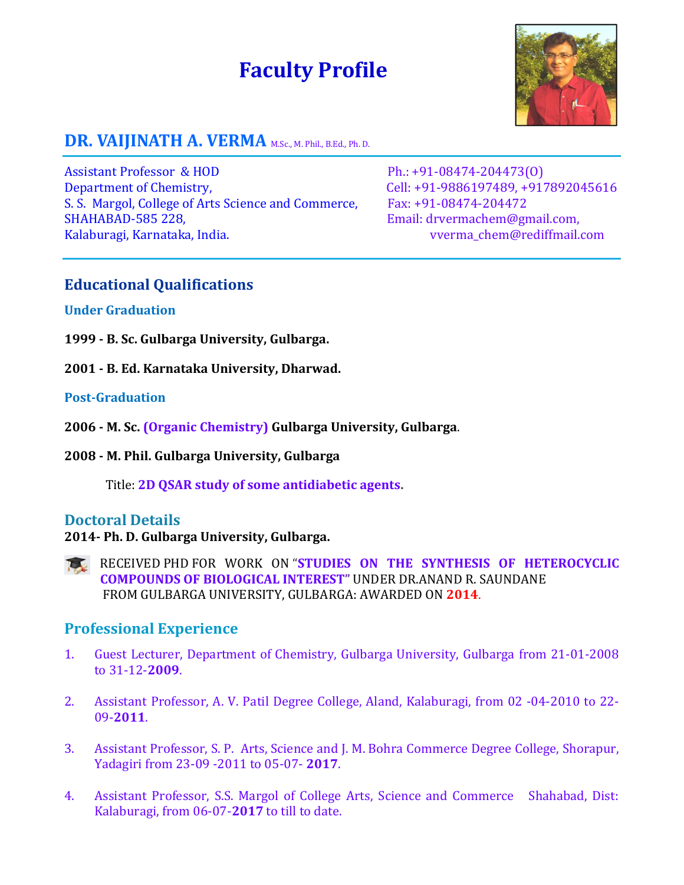# **Faculty Profile**



# DR. VAIJINATH A. VERMA M.Sc., M. Phil., B.Ed., Ph. D.

Assistant Professor & HOD Ph.: +91-08474-204473(0) Department of Chemistry, Cell: +91-9886197489, +917892045616 S. S. Margol, College of Arts Science and Commerce, Fax: +91-08474-204472 SHAHABAD-585 228, Email: [drvermachem@gmail.com,](mailto:drvermachem@gmail.com) Kalaburagi, Karnataka, India. varian verma chem@rediffmail.com

#### **Educational Qualifications**

#### **Under Graduation**

- **1999 - B. Sc. Gulbarga University, Gulbarga.**
- **2001 - B. Ed. Karnataka University, Dharwad.**

#### **Post-Graduation**

- **2006 - M. Sc. (Organic Chemistry) Gulbarga University, Gulbarga**.
- **2008 - M. Phil. Gulbarga University, Gulbarga**

Title: **2D QSAR study of some antidiabetic agents.**

#### **Doctoral Details**

#### **2014- Ph. D. Gulbarga University, Gulbarga.**

RECEIVED PHD FOR WORK ON "**STUDIES ON THE SYNTHESIS OF HETEROCYCLIC COMPOUNDS OF BIOLOGICAL INTEREST"** UNDER DR.ANAND R. SAUNDANE FROM GULBARGA UNIVERSITY, GULBARGA: AWARDED ON **2014**.

#### **Professional Experience**

- 1. Guest Lecturer, Department of Chemistry, Gulbarga University, Gulbarga from 21-01-2008 to 31-12-**2009**.
- 2. Assistant Professor, A. V. Patil Degree College, Aland, Kalaburagi, from 02 -04-2010 to 22- 09-**2011**.
- 3. Assistant Professor, S. P. Arts, Science and J. M. Bohra Commerce Degree College, Shorapur, Yadagiri from 23-09 -2011 to 05-07- **2017**.
- 4. Assistant Professor, S.S. Margol of College Arts, Science and Commerce Shahabad, Dist: Kalaburagi, from 06-07-**2017** to till to date.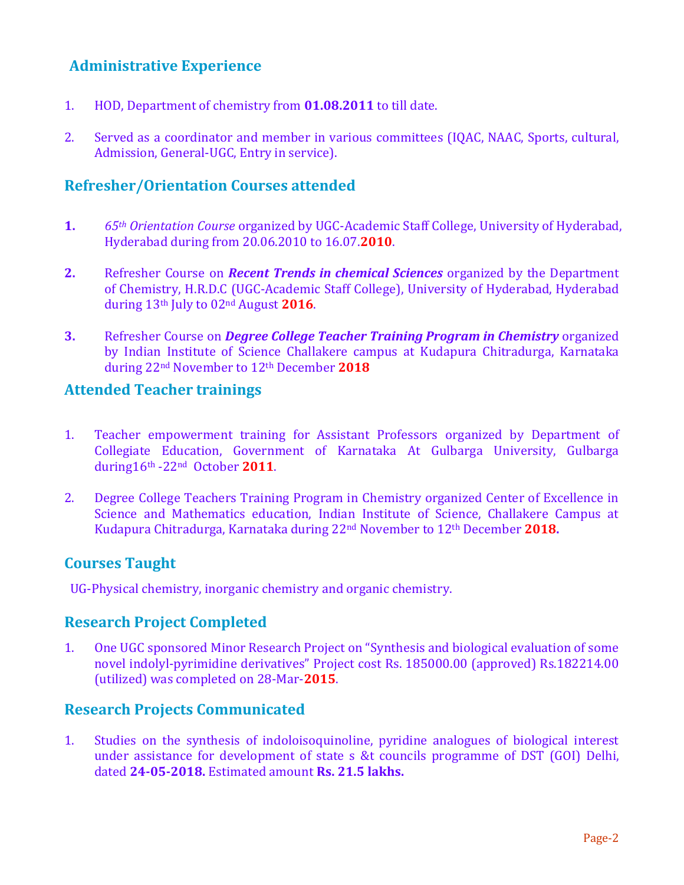# **Administrative Experience**

- 1. HOD, Department of chemistry from **01.08.2011** to till date.
- 2. Served as a coordinator and member in various committees (IQAC, NAAC, Sports, cultural, Admission, General-UGC, Entry in service).

# **Refresher/Orientation Courses attended**

- **1.** *65th Orientation Course* organized by UGC-Academic Staff College, University of Hyderabad, Hyderabad during from 20.06.2010 to 16.07.**2010**.
- **2.** Refresher Course on *Recent Trends in chemical Sciences* organized by the Department of Chemistry, H.R.D.C (UGC-Academic Staff College), University of Hyderabad, Hyderabad during 13th July to 02nd August **2016**.
- **3.** Refresher Course on *Degree College Teacher Training Program in Chemistry* organized by Indian Institute of Science Challakere campus at Kudapura Chitradurga, Karnataka during 22nd November to 12th December **2018**

# **Attended Teacher trainings**

- 1. Teacher empowerment training for Assistant Professors organized by Department of Collegiate Education, Government of Karnataka At Gulbarga University, Gulbarga during16th -22nd October **2011**.
- 2. Degree College Teachers Training Program in Chemistry organized Center of Excellence in Science and Mathematics education, Indian Institute of Science, Challakere Campus at Kudapura Chitradurga, Karnataka during 22nd November to 12th December **2018.**

## **Courses Taught**

UG-Physical chemistry, inorganic chemistry and organic chemistry.

## **Research Project Completed**

1. One UGC sponsored Minor Research Project on "Synthesis and biological evaluation of some novel indolyl-pyrimidine derivatives" Project cost Rs. 185000.00 (approved) Rs.182214.00 (utilized) was completed on 28-Mar-**2015**.

#### **Research Projects Communicated**

1. Studies on the synthesis of indoloisoquinoline, pyridine analogues of biological interest under assistance for development of state s &t councils programme of DST (GOI) Delhi, dated **24-05-2018.** Estimated amount **Rs. 21.5 lakhs.**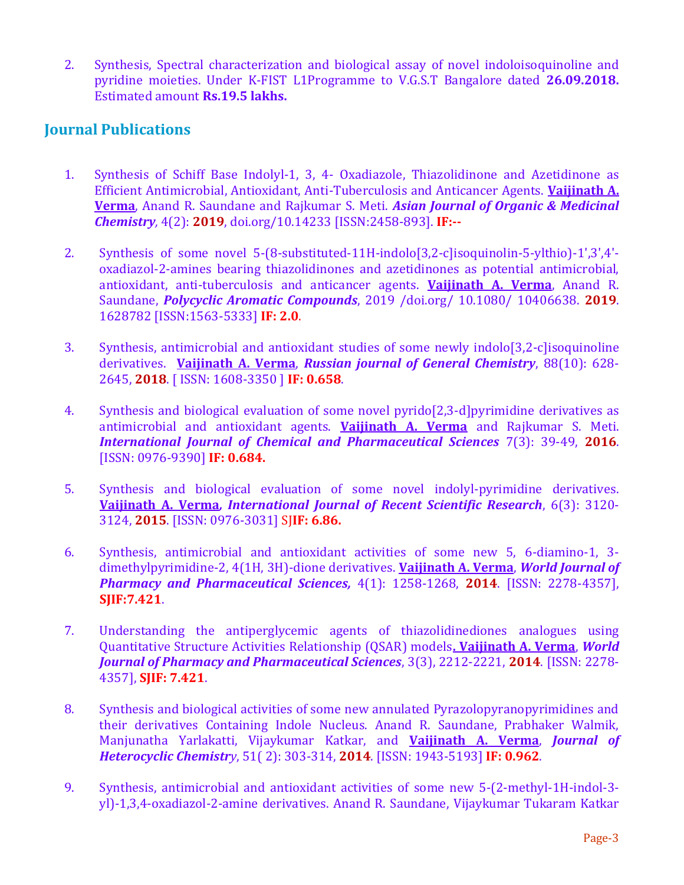2. Synthesis, Spectral characterization and biological assay of novel indoloisoquinoline and pyridine moieties. Under K-FIST L1Programme to V.G.S.T Bangalore dated **26.09.2018.** Estimated amount **Rs.19.5 lakhs.**

# **Journal Publications**

- 1. Synthesis of Schiff Base Indolyl-1, 3, 4- Oxadiazole, Thiazolidinone and Azetidinone as Efficient Antimicrobial, Antioxidant, Anti-Tuberculosis and Anticancer Agents. **Vaijinath A. Verma**, Anand R. Saundane and Rajkumar S. Meti. *Asian Journal of Organic & Medicinal Chemistry,* 4(2): **2019**, doi.org/10.14233 [ISSN:2458-893]. **IF:--**
- 2. Synthesis of some novel 5-(8-substituted-11H-indolo[3,2-c]isoquinolin-5-ylthio)-1ʹ,3ʹ,4ʹoxadiazol-2-amines bearing thiazolidinones and azetidinones as potential antimicrobial, antioxidant, anti-tuberculosis and anticancer agents. **Vaijinath A. Verma**, Anand R. Saundane, *Polycyclic Aromatic Compounds*, 2019 /doi.org/ 10.1080/ 10406638. **2019**. 1628782 [ISSN:1563-5333] **IF: 2.0**.
- 3. Synthesis, antimicrobial and antioxidant studies of some newly indolo[3,2-c]isoquinoline derivatives. **Vaijinath A. Verma**, *Russian journal of General Chemistry*, 88(10): 628- 2645, **2018**. [ ISSN: 1608-3350 ] **IF: 0.658**.
- 4. Synthesis and biological evaluation of some novel pyrido[2,3-d]pyrimidine derivatives as antimicrobial and antioxidant agents. **Vaijinath A. Verma** and Rajkumar S. Meti. *International Journal of Chemical and Pharmaceutical Sciences* 7(3): 39-49, **2016**. [ISSN: 0976-9390] **IF: 0.684.**
- 5. Synthesis and biological evaluation of some novel indolyl-pyrimidine derivatives. **Vaijinath A. Verma***, International Journal of Recent Scientific Research*, 6(3): 3120- 3124, **2015**. [ISSN: 0976-3031] SJ**IF: 6.86.**
- 6. Synthesis, antimicrobial and antioxidant activities of some new 5, 6-diamino-1, 3 dimethylpyrimidine-2, 4(1H, 3H)-dione derivatives. **Vaijinath A. Verma**, *World Journal of Pharmacy and Pharmaceutical Sciences,* 4(1): 1258-1268, **2014**. [ISSN: 2278-4357], **SJIF:7.421**.
- 7. Understanding the antiperglycemic agents of thiazolidinediones analogues using Quantitative Structure Activities Relationship (QSAR) models**. Vaijinath A. Verma**, *World Journal of Pharmacy and Pharmaceutical Sciences*, 3(3), 2212-2221, **2014**. [ISSN: 2278- 4357], **SJIF: 7.421**.
- 8. Synthesis and biological activities of some new annulated Pyrazolopyranopyrimidines and their derivatives Containing Indole Nucleus. Anand R. Saundane, Prabhaker Walmik, Manjunatha Yarlakatti, Vijaykumar Katkar, and **Vaijinath A. Verma**, *Journal of Heterocyclic Chemistry*, 51( 2): 303-314, **2014**. [ISSN: 1943-5193] **IF: 0.962**.
- 9. Synthesis, antimicrobial and antioxidant activities of some new 5-(2-methyl-1H-indol-3 yl)-1,3,4-oxadiazol-2-amine derivatives. Anand R. Saundane, Vijaykumar Tukaram Katkar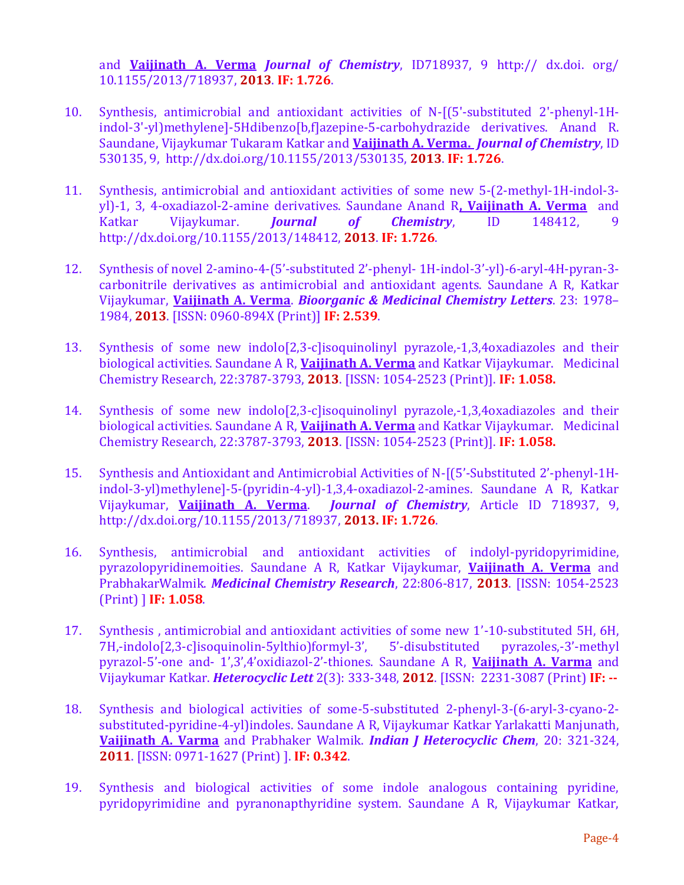and **Vaijinath A. Verma** *Journal of Chemistry*, ID718937, 9 http:// dx.doi. org/ 10.1155/2013/718937, **2013**. **IF: 1.726**.

- 10. Synthesis, antimicrobial and antioxidant activities of N-[(5'-substituted 2'-phenyl-1Hindol-3'-yl)methylene]-5Hdibenzo[b,f]azepine-5-carbohydrazide derivatives. Anand R. Saundane, Vijaykumar Tukaram Katkar and **Vaijinath A. Verma.** *Journal of Chemistry*, ID 530135, 9, http://dx.doi.org/10.1155/2013/530135, **2013**. **IF: 1.726**.
- 11. Synthesis, antimicrobial and antioxidant activities of some new 5-(2-methyl-1H-indol-3 yl)-1, 3, 4-oxadiazol-2-amine derivatives. Saundane Anand R**, Vaijinath A. Verma** and Katkar Vijaykumar. *Journal of Chemistry*, ID 148412, 9 http://dx.doi.org/10.1155/2013/148412, **2013**. **IF: 1.726**.
- 12. Synthesis of novel 2-amino-4-(5'-substituted 2'-phenyl- 1H-indol-3'-yl)-6-aryl-4H-pyran-3 carbonitrile derivatives as antimicrobial and antioxidant agents. Saundane A R, Katkar Vijaykumar, **Vaijinath A. Verma**. *Bioorganic & Medicinal Chemistry Letters*. 23: 1978– 1984, **2013**. [ISSN: 0960-894X (Print)] **IF: 2.539**.
- 13. Synthesis of some new indolo[2,3-c]isoquinolinyl pyrazole,-1,3,4oxadiazoles and their biological activities. Saundane A R, **Vaijinath A. Verma** and Katkar Vijaykumar. Medicinal Chemistry Research, 22:3787-3793, **2013**. [ISSN: 1054-2523 (Print)]. **IF: 1.058.**
- 14. Synthesis of some new indolo[2,3-c]isoquinolinyl pyrazole,-1,3,4oxadiazoles and their biological activities. Saundane A R, **Vaijinath A. Verma** and Katkar Vijaykumar. Medicinal Chemistry Research, 22:3787-3793, **2013**. [ISSN: 1054-2523 (Print)]. **IF: 1.058.**
- 15. Synthesis and Antioxidant and Antimicrobial Activities of N-[(5'-Substituted 2'-phenyl-1Hindol-3-yl)methylene]-5-(pyridin-4-yl)-1,3,4-oxadiazol-2-amines. Saundane A R, Katkar Vijaykumar, **Vaijinath A. Verma**. *Journal of Chemistry*, Article ID 718937, 9, http://dx.doi.org/10.1155/2013/718937, **2013. IF: 1.726**.
- 16. Synthesis, antimicrobial and antioxidant activities of indolyl-pyridopyrimidine, pyrazolopyridinemoities. Saundane A R, Katkar Vijaykumar, **Vaijinath A. Verma** and PrabhakarWalmik. *Medicinal Chemistry Research*, 22:806-817, **2013**. [ISSN: 1054-2523 (Print) ] **IF: 1.058**.
- 17. Synthesis , antimicrobial and antioxidant activities of some new 1'-10-substituted 5H, 6H, 7H,-indolo[2,3-c]isoquinolin-5ylthio)formyl-3', 5'-disubstituted pyrazoles,-3'-methyl pyrazol-5'-one and- 1',3',4'oxidiazol-2'-thiones. Saundane A R, **Vaijinath A. Varma** and Vijaykumar Katkar. *Heterocyclic Lett* 2(3): 333-348, **2012**. [ISSN: 2231-3087 (Print) **IF: --**
- 18. Synthesis and biological activities of some-5-substituted 2-phenyl-3-(6-aryl-3-cyano-2 substituted-pyridine-4-yl)indoles. Saundane A R, Vijaykumar Katkar Yarlakatti Manjunath, **Vaijinath A. Varma** and Prabhaker Walmik. *Indian J Heterocyclic Chem*, 20: 321-324, **2011**. [ISSN: 0971-1627 (Print) ]. **IF: 0.342**.
- 19. Synthesis and biological activities of some indole analogous containing pyridine, pyridopyrimidine and pyranonapthyridine system. Saundane A R, Vijaykumar Katkar,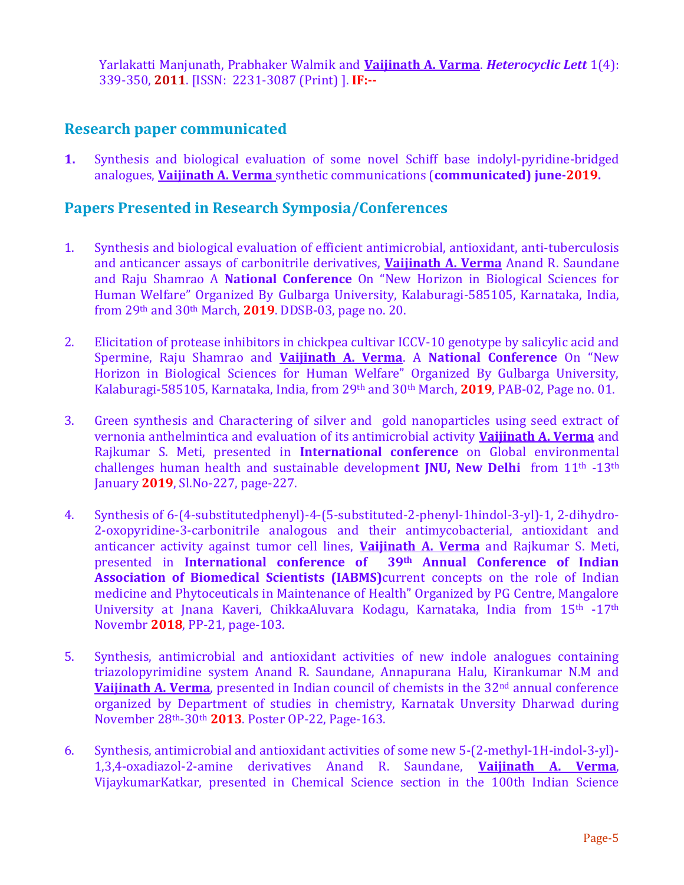Yarlakatti Manjunath, Prabhaker Walmik and **Vaijinath A. Varma**. *Heterocyclic Lett* 1(4): 339-350, **2011**. [ISSN: 2231-3087 (Print) ]. **IF:--**

### **Research paper communicated**

**1.** Synthesis and biological evaluation of some novel Schiff base indolyl-pyridine-bridged analogues, **Vaijinath A. Verma** synthetic communications (**communicated) june-2019.**

#### **Papers Presented in Research Symposia/Conferences**

- 1. Synthesis and biological evaluation of efficient antimicrobial, antioxidant, anti-tuberculosis and anticancer assays of carbonitrile derivatives, **Vaijinath A. Verma** Anand R. Saundane and Raju Shamrao A **National Conference** On "New Horizon in Biological Sciences for Human Welfare" Organized By Gulbarga University, Kalaburagi-585105, Karnataka, India, from 29th and 30th March, **2019**. DDSB-03, page no. 20.
- 2. Elicitation of protease inhibitors in chickpea cultivar ICCV-10 genotype by salicylic acid and Spermine, Raju Shamrao and **Vaijinath A. Verma**. A **National Conference** On "New Horizon in Biological Sciences for Human Welfare" Organized By Gulbarga University, Kalaburagi-585105, Karnataka, India, from 29th and 30th March, **2019**, PAB-02, Page no. 01.
- 3. Green synthesis and Charactering of silver and gold nanoparticles using seed extract of vernonia anthelmintica and evaluation of its antimicrobial activity **Vaijinath A. Verma** and Rajkumar S. Meti, presented in **International conference** on Global environmental challenges human health and sustainable developmen**t JNU, New Delhi** from 11th -13th January **2019**, Sl.No-227, page-227.
- 4. Synthesis of 6-(4-substitutedphenyl)-4-(5-substituted-2-phenyl-1hindol-3-yl)-1, 2-dihydro-2-oxopyridine-3-carbonitrile analogous and their antimycobacterial, antioxidant and anticancer activity against tumor cell lines, **Vaijinath A. Verma** and Rajkumar S. Meti, presented in **International conference of 39th Annual Conference of Indian Association of Biomedical Scientists (IABMS)**current concepts on the role of Indian medicine and Phytoceuticals in Maintenance of Health" Organized by PG Centre, Mangalore University at Jnana Kaveri, ChikkaAluvara Kodagu, Karnataka, India from 15th -17th Novembr **2018**, PP-21, page-103.
- 5. Synthesis, antimicrobial and antioxidant activities of new indole analogues containing triazolopyrimidine system Anand R. Saundane, Annapurana Halu, Kirankumar N.M and **Vaijinath A. Verma**, presented in Indian council of chemists in the 32<sup>nd</sup> annual conference organized by Department of studies in chemistry, Karnatak Unversity Dharwad during November 28th-30th **2013**. Poster OP-22, Page-163.
- 6. Synthesis, antimicrobial and antioxidant activities of some new 5-(2-methyl-1H-indol-3-yl)- 1,3,4-oxadiazol-2-amine derivatives Anand R. Saundane, **Vaijinath A. Verma**, VijaykumarKatkar, presented in Chemical Science section in the 100th Indian Science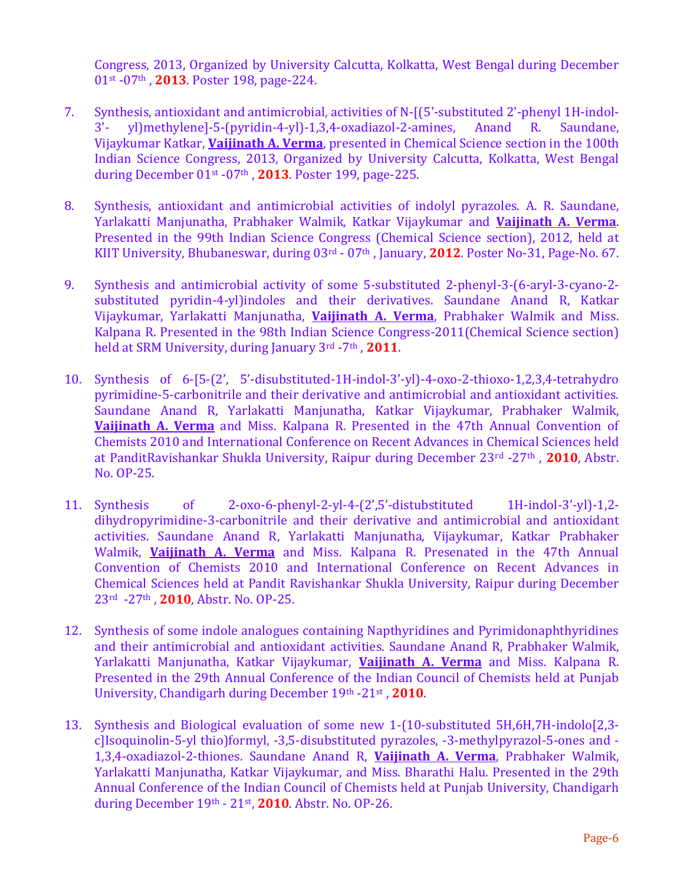Congress, 2013, Organized by University Calcutta, Kolkatta, West Bengal during December 01st -07th , **2013**. Poster 198, page-224.

- 7. Synthesis, antioxidant and antimicrobial, activities of N-[(5'-substituted 2'-phenyl 1H-indol-3'- yl)methylene]-5-(pyridin-4-yl)-1,3,4-oxadiazol-2-amines, Anand R. Saundane, Vijaykumar Katkar, **Vaijinath A. Verma**, presented in Chemical Science section in the 100th Indian Science Congress, 2013, Organized by University Calcutta, Kolkatta, West Bengal during December 01st -07th , **2013**. Poster 199, page-225.
- 8. Synthesis, antioxidant and antimicrobial activities of indolyl pyrazoles. A. R. Saundane, Yarlakatti Manjunatha, Prabhaker Walmik, Katkar Vijaykumar and **Vaijinath A. Verma**. Presented in the 99th Indian Science Congress (Chemical Science section), 2012, held at KIIT University, Bhubaneswar, during 03rd - 07th , January, **2012**. Poster No-31, Page-No. 67.
- 9. Synthesis and antimicrobial activity of some 5-substituted 2-phenyl-3-(6-aryl-3-cyano-2 substituted pyridin-4-yl)indoles and their derivatives. Saundane Anand R, Katkar Vijaykumar, Yarlakatti Manjunatha, **Vaijinath A. Verma**, Prabhaker Walmik and Miss. Kalpana R. Presented in the 98th Indian Science Congress-2011(Chemical Science section) held at SRM University, during January 3rd -7th , **2011**.
- 10. Synthesis of 6-[5-(2', 5'-disubstituted-1H-indol-3'-yl)-4-oxo-2-thioxo-1,2,3,4-tetrahydro pyrimidine-5-carbonitrile and their derivative and antimicrobial and antioxidant activities. Saundane Anand R, Yarlakatti Manjunatha, Katkar Vijaykumar, Prabhaker Walmik, **Vaijinath A. Verma** and Miss. Kalpana R. Presented in the 47th Annual Convention of Chemists 2010 and International Conference on Recent Advances in Chemical Sciences held at PanditRavishankar Shukla University, Raipur during December 23rd -27th , **2010**, Abstr. No. OP-25.
- 11. Synthesis of 2-oxo-6-phenyl-2-yl-4-(2',5'-distubstituted 1H-indol-3'-yl)-1,2 dihydropyrimidine-3-carbonitrile and their derivative and antimicrobial and antioxidant activities. Saundane Anand R, Yarlakatti Manjunatha, Vijaykumar, Katkar Prabhaker Walmik, **Vaijinath A. Verma** and Miss. Kalpana R. Presenated in the 47th Annual Convention of Chemists 2010 and International Conference on Recent Advances in Chemical Sciences held at Pandit Ravishankar Shukla University, Raipur during December 23rd -27th , **2010**, Abstr. No. OP-25.
- 12. Synthesis of some indole analogues containing Napthyridines and Pyrimidonaphthyridines and their antimicrobial and antioxidant activities. Saundane Anand R, Prabhaker Walmik, Yarlakatti Manjunatha, Katkar Vijaykumar, **Vaijinath A. Verma** and Miss. Kalpana R. Presented in the 29th Annual Conference of the Indian Council of Chemists held at Punjab University, Chandigarh during December 19th -21st , **2010**.
- 13. Synthesis and Biological evaluation of some new 1-(10-substituted 5H,6H,7H-indolo[2,3 c]Isoquinolin-5-yl thio)formyl, -3,5-disubstituted pyrazoles, -3-methylpyrazol-5-ones and - 1,3,4-oxadiazol-2-thiones. Saundane Anand R, **Vaijinath A. Verma**, Prabhaker Walmik, Yarlakatti Manjunatha, Katkar Vijaykumar, and Miss. Bharathi Halu. Presented in the 29th Annual Conference of the Indian Council of Chemists held at Punjab University, Chandigarh during December 19th - 21st , **2010**. Abstr. No. OP-26.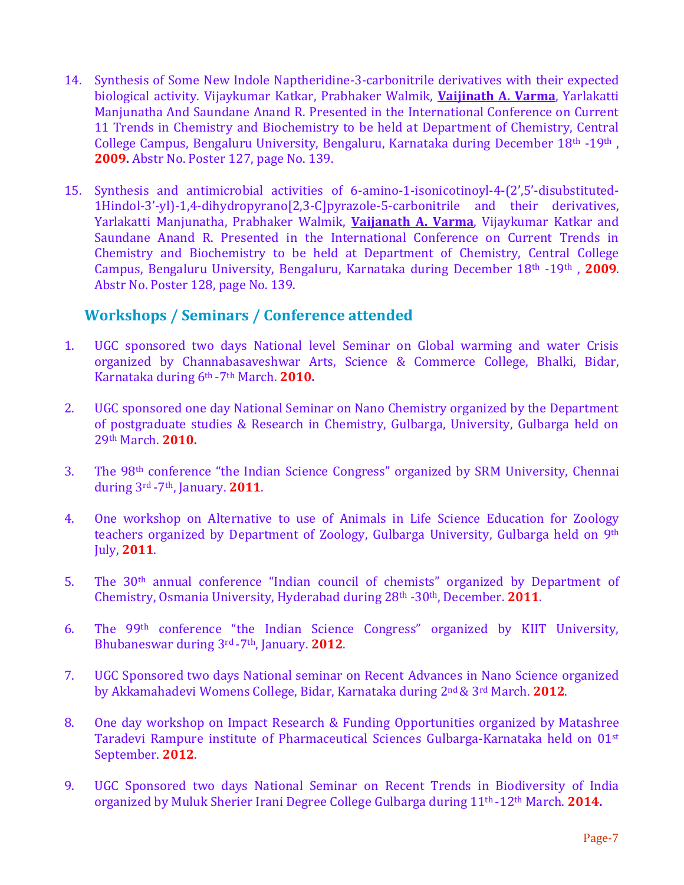- 14. Synthesis of Some New Indole Naptheridine-3-carbonitrile derivatives with their expected biological activity. Vijaykumar Katkar, Prabhaker Walmik, **Vaijinath A. Varma**, Yarlakatti Manjunatha And Saundane Anand R. Presented in the International Conference on Current 11 Trends in Chemistry and Biochemistry to be held at Department of Chemistry, Central College Campus, Bengaluru University, Bengaluru, Karnataka during December 18th -19th , **2009.** Abstr No. Poster 127, page No. 139.
- 15. Synthesis and antimicrobial activities of 6-amino-1-isonicotinoyl-4-(2',5'-disubstituted-1Hindol-3'-yl)-1,4-dihydropyrano[2,3-C]pyrazole-5-carbonitrile and their derivatives, Yarlakatti Manjunatha, Prabhaker Walmik, **Vaijanath A. Varma**, Vijaykumar Katkar and Saundane Anand R. Presented in the International Conference on Current Trends in Chemistry and Biochemistry to be held at Department of Chemistry, Central College Campus, Bengaluru University, Bengaluru, Karnataka during December 18th -19th , **2009**. Abstr No. Poster 128, page No. 139.

# **Workshops / Seminars / Conference attended**

- 1. UGC sponsored two days National level Seminar on Global warming and water Crisis organized by Channabasaveshwar Arts, Science & Commerce College, Bhalki, Bidar, Karnataka during 6th -7th March. **2010.**
- 2. UGC sponsored one day National Seminar on Nano Chemistry organized by the Department of postgraduate studies & Research in Chemistry, Gulbarga, University, Gulbarga held on 29th March. **2010.**
- 3. The 98th conference "the Indian Science Congress" organized by SRM University, Chennai during 3rd -7th, January. **2011**.
- 4. One workshop on Alternative to use of Animals in Life Science Education for Zoology teachers organized by Department of Zoology, Gulbarga University, Gulbarga held on 9th July, **2011**.
- 5. The 30th annual conference "Indian council of chemists" organized by Department of Chemistry, Osmania University, Hyderabad during 28th -30th, December. **2011**.
- 6. The 99th conference "the Indian Science Congress" organized by KIIT University, Bhubaneswar during 3rd -7th, January. **2012**.
- 7. UGC Sponsored two days National seminar on Recent Advances in Nano Science organized by Akkamahadevi Womens College, Bidar, Karnataka during 2nd& 3rd March. **2012**.
- 8. One day workshop on Impact Research & Funding Opportunities organized by Matashree Taradevi Rampure institute of Pharmaceutical Sciences Gulbarga-Karnataka held on 01st September. **2012**.
- 9. UGC Sponsored two days National Seminar on Recent Trends in Biodiversity of India organized by Muluk Sherier Irani Degree College Gulbarga during 11th -12th March. **2014.**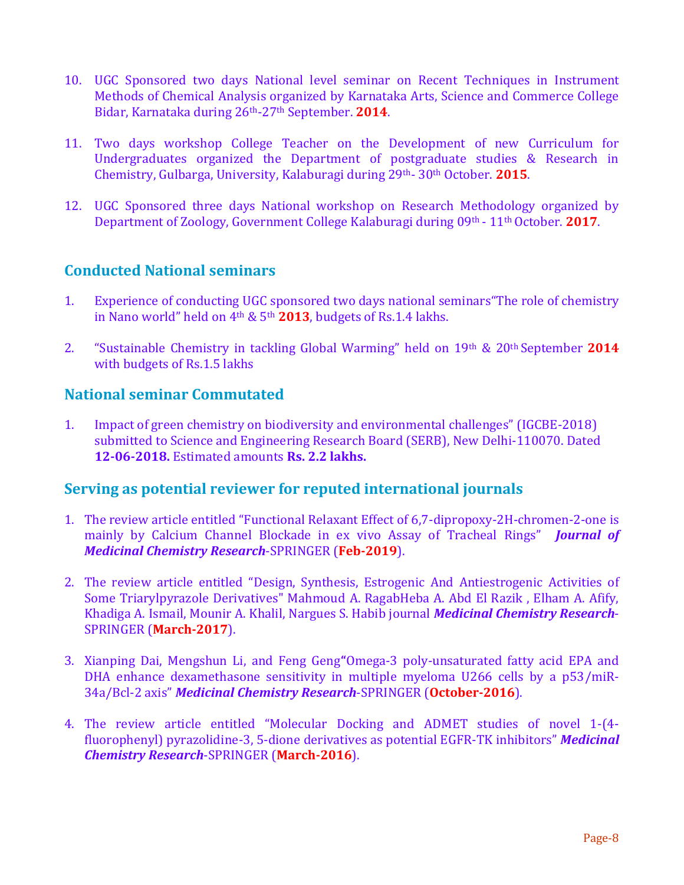- 10. UGC Sponsored two days National level seminar on Recent Techniques in Instrument Methods of Chemical Analysis organized by Karnataka Arts, Science and Commerce College Bidar, Karnataka during 26th-27th September. **2014**.
- 11. Two days workshop College Teacher on the Development of new Curriculum for Undergraduates organized the Department of postgraduate studies & Research in Chemistry, Gulbarga, University, Kalaburagi during 29th- 30th October. **2015**.
- 12. UGC Sponsored three days National workshop on Research Methodology organized by Department of Zoology, Government College Kalaburagi during 09<sup>th</sup> - 11<sup>th</sup> October. **2017**.

# **Conducted National seminars**

- 1. Experience of conducting UGC sponsored two days national seminars"The role of chemistry in Nano world" held on  $4<sup>th</sup>$  &  $5<sup>th</sup>$  **2013**, budgets of Rs.1.4 lakhs.
- 2. "Sustainable Chemistry in tackling Global Warming" held on 19th & 20th September **2014** with budgets of Rs.1.5 lakhs

#### **National seminar Commutated**

1. Impact of green chemistry on biodiversity and environmental challenges" (IGCBE-2018) submitted to Science and Engineering Research Board (SERB), New Delhi-110070. Dated **12-06-2018.** Estimated amounts **Rs. 2.2 lakhs.**

## **Serving as potential reviewer for reputed international journals**

- 1. The review article entitled "Functional Relaxant Effect of 6,7-dipropoxy-2H-chromen-2-one is mainly by Calcium Channel Blockade in ex vivo Assay of Tracheal Rings" *Journal of Medicinal Chemistry Research*-SPRINGER (**Feb-2019**).
- 2. The review article entitled "Design, Synthesis, Estrogenic And Antiestrogenic Activities of Some Triarylpyrazole Derivatives" Mahmoud A. RagabHeba A. Abd El Razik , Elham A. Afify, Khadiga A. Ismail, Mounir A. Khalil, Nargues S. Habib journal *Medicinal Chemistry Research*-SPRINGER (**March-2017**).
- 3. Xianping Dai, Mengshun Li, and Feng Geng**"**Omega-3 poly-unsaturated fatty acid EPA and DHA enhance dexamethasone sensitivity in multiple myeloma U266 cells by a p53/miR-34a/Bcl-2 axis" *Medicinal Chemistry Research*-SPRINGER (**October-2016**).
- 4. The review article entitled "Molecular Docking and ADMET studies of novel 1-(4 fluorophenyl) pyrazolidine-3, 5-dione derivatives as potential EGFR-TK inhibitors" *Medicinal Chemistry Research*-SPRINGER (**March-2016**).